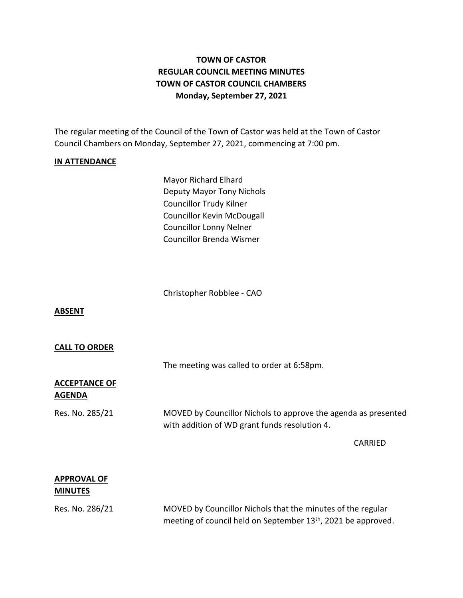# **TOWN OF CASTOR REGULAR COUNCIL MEETING MINUTES TOWN OF CASTOR COUNCIL CHAMBERS Monday, September 27, 2021**

The regular meeting of the Council of the Town of Castor was held at the Town of Castor Council Chambers on Monday, September 27, 2021, commencing at 7:00 pm.

### **IN ATTENDANCE**

Mayor Richard Elhard Deputy Mayor Tony Nichols Councillor Trudy Kilner Councillor Kevin McDougall Councillor Lonny Nelner Councillor Brenda Wismer

Christopher Robblee - CAO

#### **ABSENT**

#### **CALL TO ORDER**

The meeting was called to order at 6:58pm.

## **ACCEPTANCE OF AGENDA**

Res. No. 285/21 MOVED by Councillor Nichols to approve the agenda as presented with addition of WD grant funds resolution 4.

CARRIED

# **APPROVAL OF MINUTES**

Res. No. 286/21 MOVED by Councillor Nichols that the minutes of the regular meeting of council held on September 13<sup>th</sup>, 2021 be approved.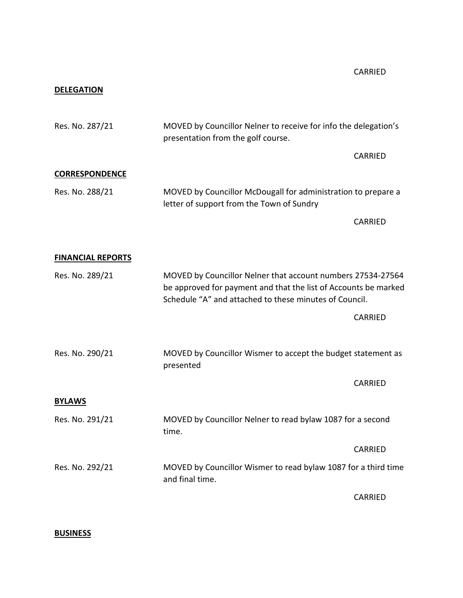## **DELEGATION**

| Res. No. 287/21          | MOVED by Councillor Nelner to receive for info the delegation's<br>presentation from the golf course.                                                                                    |                                                              |  |
|--------------------------|------------------------------------------------------------------------------------------------------------------------------------------------------------------------------------------|--------------------------------------------------------------|--|
|                          |                                                                                                                                                                                          | <b>CARRIED</b>                                               |  |
| <b>CORRESPONDENCE</b>    |                                                                                                                                                                                          |                                                              |  |
| Res. No. 288/21          | MOVED by Councillor McDougall for administration to prepare a<br>letter of support from the Town of Sundry                                                                               |                                                              |  |
|                          |                                                                                                                                                                                          | <b>CARRIED</b>                                               |  |
| <b>FINANCIAL REPORTS</b> |                                                                                                                                                                                          |                                                              |  |
| Res. No. 289/21          | MOVED by Councillor Nelner that account numbers 27534-27564<br>be approved for payment and that the list of Accounts be marked<br>Schedule "A" and attached to these minutes of Council. |                                                              |  |
|                          |                                                                                                                                                                                          | CARRIED                                                      |  |
| Res. No. 290/21          | presented                                                                                                                                                                                | MOVED by Councillor Wismer to accept the budget statement as |  |
|                          |                                                                                                                                                                                          | CARRIED                                                      |  |
| <b>BYLAWS</b>            |                                                                                                                                                                                          |                                                              |  |
| Res. No. 291/21          | MOVED by Councillor Nelner to read bylaw 1087 for a second<br>time.                                                                                                                      |                                                              |  |
|                          |                                                                                                                                                                                          | <b>CARRIED</b>                                               |  |
| Res. No. 292/21          | MOVED by Councillor Wismer to read bylaw 1087 for a third time<br>and final time.                                                                                                        |                                                              |  |
|                          |                                                                                                                                                                                          | <b>CARRIED</b>                                               |  |

**BUSINESS**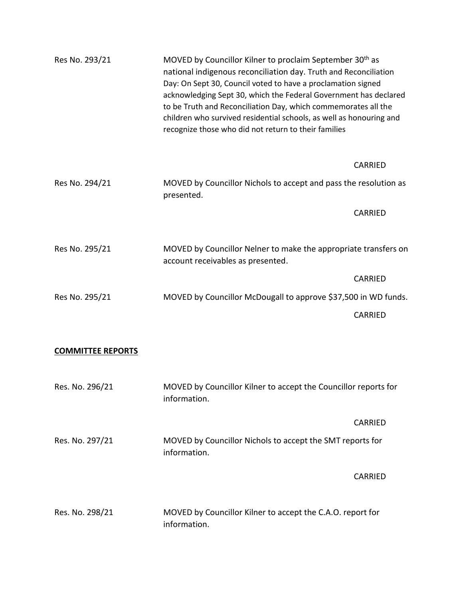| Res No. 293/21 | MOVED by Councillor Kilner to proclaim September 30 <sup>th</sup> as<br>national indigenous reconciliation day. Truth and Reconciliation<br>Day: On Sept 30, Council voted to have a proclamation signed<br>acknowledging Sept 30, which the Federal Government has declared<br>to be Truth and Reconciliation Day, which commemorates all the<br>children who survived residential schools, as well as honouring and<br>recognize those who did not return to their families |                |
|----------------|-------------------------------------------------------------------------------------------------------------------------------------------------------------------------------------------------------------------------------------------------------------------------------------------------------------------------------------------------------------------------------------------------------------------------------------------------------------------------------|----------------|
|                |                                                                                                                                                                                                                                                                                                                                                                                                                                                                               | <b>CARRIED</b> |
| Res No. 294/21 | MOVED by Councillor Nichols to accept and pass the resolution as<br>presented.                                                                                                                                                                                                                                                                                                                                                                                                |                |
|                |                                                                                                                                                                                                                                                                                                                                                                                                                                                                               | <b>CARRIED</b> |
| Res No. 295/21 | MOVED by Councillor Nelner to make the appropriate transfers on<br>account receivables as presented.                                                                                                                                                                                                                                                                                                                                                                          |                |
|                |                                                                                                                                                                                                                                                                                                                                                                                                                                                                               | <b>CARRIED</b> |
| Res No. 295/21 | MOVED by Councillor McDougall to approve \$37,500 in WD funds.                                                                                                                                                                                                                                                                                                                                                                                                                |                |
|                |                                                                                                                                                                                                                                                                                                                                                                                                                                                                               | <b>CARRIED</b> |

# **COMMITTEE REPORTS**

| Res. No. 296/21 | MOVED by Councillor Kilner to accept the Councillor reports for<br>information. |
|-----------------|---------------------------------------------------------------------------------|
|                 | CARRIED                                                                         |
| Res. No. 297/21 | MOVED by Councillor Nichols to accept the SMT reports for<br>information.       |
|                 | CARRIED                                                                         |
| Res. No. 298/21 | MOVED by Councillor Kilner to accept the C.A.O. report for<br>information.      |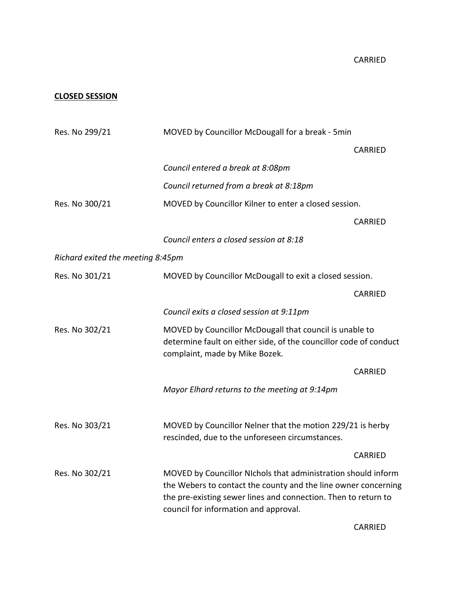CARRIED

## **CLOSED SESSION**

| Res. No 299/21                    | MOVED by Councillor McDougall for a break - 5min                                                                                                                                                                                           |                |  |
|-----------------------------------|--------------------------------------------------------------------------------------------------------------------------------------------------------------------------------------------------------------------------------------------|----------------|--|
|                                   |                                                                                                                                                                                                                                            | <b>CARRIED</b> |  |
|                                   | Council entered a break at 8:08pm                                                                                                                                                                                                          |                |  |
|                                   | Council returned from a break at 8:18pm                                                                                                                                                                                                    |                |  |
| Res. No 300/21                    | MOVED by Councillor Kilner to enter a closed session.                                                                                                                                                                                      |                |  |
|                                   |                                                                                                                                                                                                                                            | <b>CARRIED</b> |  |
|                                   | Council enters a closed session at 8:18                                                                                                                                                                                                    |                |  |
| Richard exited the meeting 8:45pm |                                                                                                                                                                                                                                            |                |  |
| Res. No 301/21                    | MOVED by Councillor McDougall to exit a closed session.                                                                                                                                                                                    |                |  |
|                                   |                                                                                                                                                                                                                                            | <b>CARRIED</b> |  |
|                                   | Council exits a closed session at 9:11pm                                                                                                                                                                                                   |                |  |
| Res. No 302/21                    | MOVED by Councillor McDougall that council is unable to<br>determine fault on either side, of the councillor code of conduct<br>complaint, made by Mike Bozek.                                                                             |                |  |
|                                   |                                                                                                                                                                                                                                            | <b>CARRIED</b> |  |
|                                   | Mayor Elhard returns to the meeting at 9:14pm                                                                                                                                                                                              |                |  |
| Res. No 303/21                    | MOVED by Councillor Nelner that the motion 229/21 is herby<br>rescinded, due to the unforeseen circumstances.                                                                                                                              |                |  |
|                                   |                                                                                                                                                                                                                                            | <b>CARRIED</b> |  |
| Res. No 302/21                    | MOVED by Councillor NIchols that administration should inform<br>the Webers to contact the county and the line owner concerning<br>the pre-existing sewer lines and connection. Then to return to<br>council for information and approval. |                |  |
|                                   |                                                                                                                                                                                                                                            | <b>CARRIED</b> |  |